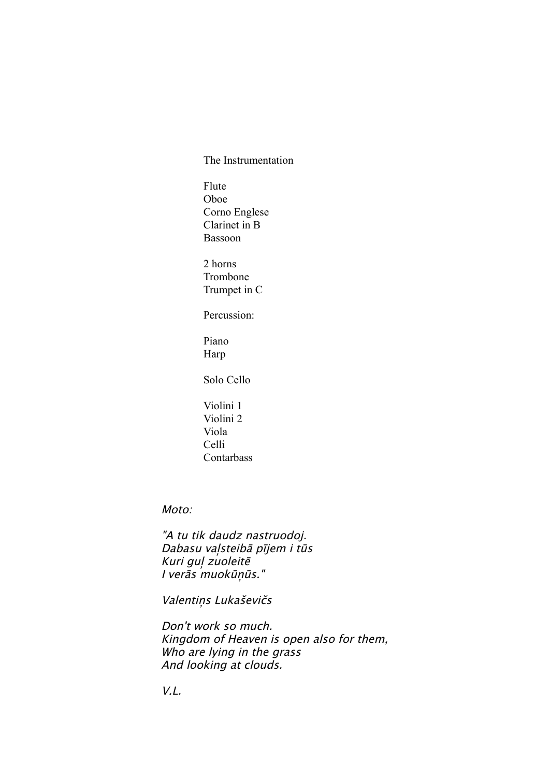The Instrumentation

Flute Oboe Corno Englese Clarinet in  $B$ Bassoon

2 horns Trombone Trumpet in C

Percussion:

Piano Harp

Solo Cello

Violini 1 Violini 2 Viola Celli Contarbass

Moto:

"A tu tik daudz nastruodoj. Dabasu vaļsteibā pījem i tūs Kuri guļ zuoleitē I verās muokūņūs."

Valentins Lukaševičs

Don't work so much. Kingdom of Heaven is open also for them, Who are lying in the grass And looking at clouds.

V.L.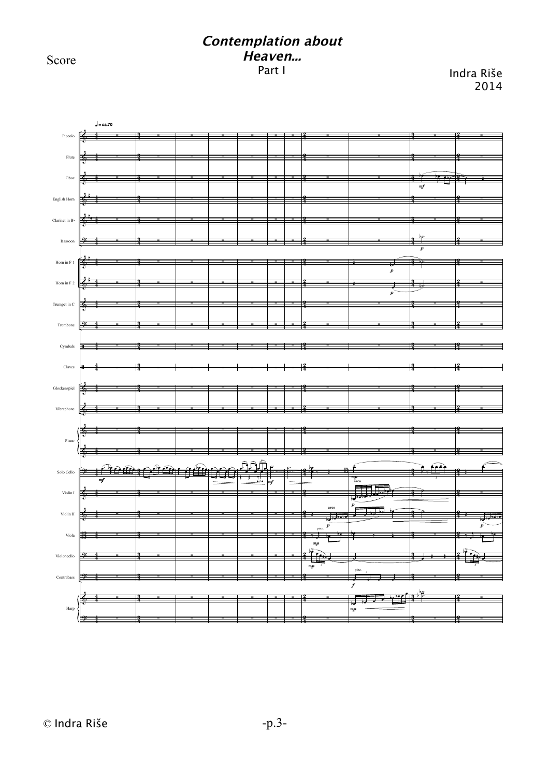Score

## **Contemplation about Heaven...** Part I Indra Riše

2014

## **E** & & & & ? & & & ? ã ã & & & & چار می می کند که است کند و سود در در است که است که است که است که است که است که است که است که است که است که است<br>و است که است که است که است که است که است که است که است که است که است که است که است که است که است که است که است & & B ? ? & ? # # # # # 4 4 4 4 4 4 4 4 4 4 4 4 4 4 4 4 4 4 4 4 4 4 4 4 4 4 4 4 4 4 4 4 4 4 4 4 4 4 4 4 4 4 4 4 4 4 4 3 4 3 4 3 4 3 4 3 4 3 4 3 4 3 4 3 4 3 4 3 4 3 4 3 4 3 4 3 4 3 4 3 4 3 4 3 4 3 4 3 4 3 4 3 4 2 4 2 4 2 4 2 4 2 4 2 4 2 4 2 4 2 4 2 4 2 4 2 4 2 4 2 4 2 4 2 4 2 4 2 4 2 4 .<br>2  $\frac{1}{2}$ 4 2 4 2 4 2 4 3 4 3 4 3 4 3 4 3 4 3  $\overline{\mathbf{r}}$  $\frac{3}{4}$  . 4 3 4 3 4 3 4 3 4 3 4 3 4 3 4 3  $, \ldots$ 4 3 4 3 4 3 4 3 4 3 4 3 4 3 4 2 4 2 4 2 4 2 4 2 4 2 4 2 4 2 4 2 4 2 4 2 4 2 4 2 4 2 4 2 4 2  $\frac{2}{3}$ 4 2 4 2 4 2 4 2 4 2 4 2 4 2 Piccolo Flute Oboe English Horn Clarinet in B Bas Horn in F Horn in F 2 Trumpet in C Trombone Cymbals Claves Glockenspiel Vibraphon Solo Cello Violin I Violin II Viola Violoncello Contrab Harp Pian ∑ ∑ ∑ ∑ ∑ ∑ ∑ ∑ ∑ ∑ ∑ ∑ ∑ ∑ ∑ ∑ ∑ ∑ ∑ ∑ ∑ ∑ ∑ mf  $\sqrt{\phantom{a}}$  = ca.70 ∑ ∑ ∑ ∑ ∑ ∑ ∑ ∑ ∑ ∑ ∑ ∑ ∑ ∑ ∑ ∑ ∑ ∑ ∑ ∑ ∑ ∑ ∑ ∑ ∑ ∑ ∑ ∑ ∑ ∑ ∑ ∑ ∑ ∑ ∑ ∑ ∑ ∑ ∑ ∑ ∑ ∑ ∑ ∑ ∑ ∑ ∑ ∑ ∑ ∑ ∑ ∑ ∑ ∑ ∑ ∑ ∑ ∑ ∑ ∑ ∑ ∑ ∑ ∑ ∑ ∑ ∑ ∑ ∑ ∑ ∑ ∑ ∑ ∑ ∑ ∑ ∑ ∑ ∑ ∑ ∑ ∑ ∑ ∑ ∑ œ. œ œ. œ œ œ œ *3* ः<br>स्रा *3* ∑ ∑ ∑ ∑ ∑ ∑ ∑ ∑ ∑ ∑ ∑ ∑ ∑ ∑ ∑ ∑ ∑ ∑ ∑ ∑ ∑ ∑ ∑ . . ˙ ˙ ∑ ∑ ∑ ∑ ∑ ∑ ∑ mJ ∑ ∑ ∑ ∑ ∑ ∑ ∑ ∑ ∑ ∑ ∑ ∑ ∑ ∑ ∑ ∑ . . ˙ ˙ ∑ ∑ ∑ ∑ ∑ ∑ ∑ ∑ ∑ ∑ ∑ ∑ ∑ ∑ ∑ ∑ ∑ ∑ ∑ ∑ ∑ ∑ ∑ J œ be<br>∀e ? → B ∑  $\Box$ ‰ j <sup>œ</sup> bœ bœ *3* ∑ ∑ ∑ pizz. mp **arco** p  $mp$ ∑ ∑ ∑ ∑ ∑ ∑ ┳  $\mathbb{R}$ ∑ ∑ ∑ ∑ ∑ ∑ ∑ ∑ ˙  $\Box$  $\Box$ J  $\mathbb{P}$ e we ˙ . . . . *3*  $\overline{b}$ ∑  $_{\it np}$ p **arco** pizz.  $\overline{\boldsymbol{J}}$ p  $_{\pi p}$ p ∑ ∑ bœ. <sup>J</sup> bœ œ bœ ∑ ∑ b˙. ∑ ∑ ∑ ∑ ∑ ∑ ∑ ∑ *3* ˙. ˙. ∑  $\Box$ ∑ . . ˙ ˙ b b ∑ mf p ∑ ∑  $\cdot$   $\cdot$ ∑ ∑ ∑ ∑ ∑ ∑ ∑ ∑ ∑ ∑ ∑ ∑ ∑ ∑  $\overline{\mathbb{R}}$  $, \}$ <sup>œ</sup> bœ bœ bœ  $\epsilon$  . *3* ∑ ∑ ∑ p